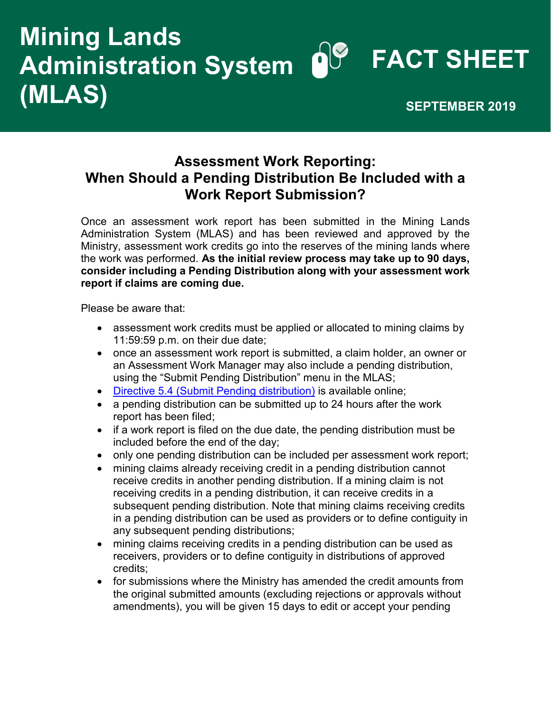## **POP FACT SHEET Mining Lands Administration System (MLAS)** SEPTEMBER 2019

## **Assessment Work Reporting: When Should a Pending Distribution Be Included with a Work Report Submission?**

Once an assessment work report has been submitted in the Mining Lands Administration System (MLAS) and has been reviewed and approved by the Ministry, assessment work credits go into the reserves of the mining lands where the work was performed. **As the initial review process may take up to 90 days, consider including a Pending Distribution along with your assessment work report if claims are coming due.** 

Please be aware that:

- assessment work credits must be applied or allocated to mining claims by 11:59:59 p.m. on their due date;
- once an assessment work report is submitted, a claim holder, an owner or an Assessment Work Manager may also include a pending distribution, using the "Submit Pending Distribution" menu in the MLAS;
- [Directive 5.4 \(Submit Pending distribution\)](https://www.mndm.gov.on.ca/en/mines-and-minerals/mlas/directive5-4-submit-pending-distribution) is available online;
- a pending distribution can be submitted up to 24 hours after the work report has been filed;
- if a work report is filed on the due date, the pending distribution must be included before the end of the day;
- only one pending distribution can be included per assessment work report;
- mining claims already receiving credit in a pending distribution cannot receive credits in another pending distribution. If a mining claim is not receiving credits in a pending distribution, it can receive credits in a subsequent pending distribution. Note that mining claims receiving credits in a pending distribution can be used as providers or to define contiguity in any subsequent pending distributions;
- mining claims receiving credits in a pending distribution can be used as receivers, providers or to define contiguity in distributions of approved credits;
- for submissions where the Ministry has amended the credit amounts from the original submitted amounts (excluding rejections or approvals without amendments), you will be given 15 days to edit or accept your pending